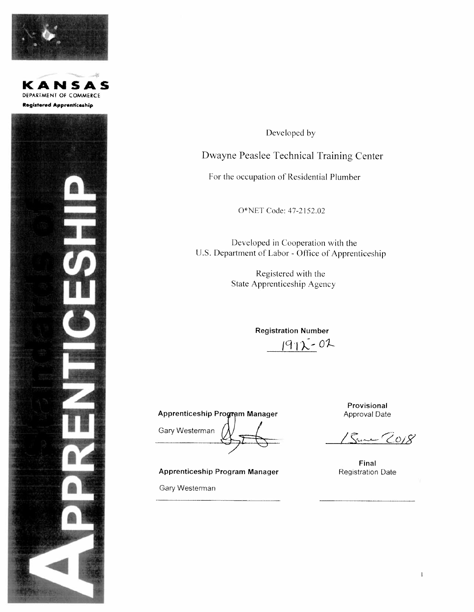





Developed by

Dwayne Peaslee Technical Training Center

For the occupation of Residential Plumber

O\*NET Code: 47-2152.02

Developed in Cooperation with the U.S. Department of Labor - Office of Apprenticeship

> Registered with the State Apprenticeship Agency

> > **Registration Number**  $1972 - 02$

**Apprenticeship Program Manager** 

Gary Westerman

**Apprenticeship Program Manager** 

Gary Westerman

Provisional Approval Date

Sure 2018

Final **Registration Date**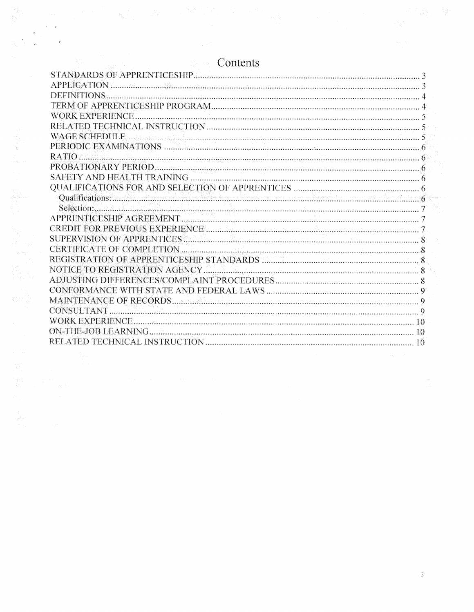| DEFINITIONS                                                                                                             |  |
|-------------------------------------------------------------------------------------------------------------------------|--|
|                                                                                                                         |  |
| <b>WORK EXPERIENCE.</b>                                                                                                 |  |
|                                                                                                                         |  |
|                                                                                                                         |  |
|                                                                                                                         |  |
| <b>RATIO</b>                                                                                                            |  |
|                                                                                                                         |  |
|                                                                                                                         |  |
|                                                                                                                         |  |
|                                                                                                                         |  |
| Selection <b>Execution Constitution of the Constitution</b> Constitution of the Selection Constitution of the Selection |  |
|                                                                                                                         |  |
|                                                                                                                         |  |
|                                                                                                                         |  |
| CERTIFICATE OF COMPLETION                                                                                               |  |
|                                                                                                                         |  |
|                                                                                                                         |  |
|                                                                                                                         |  |
|                                                                                                                         |  |
|                                                                                                                         |  |
| CONSULTANT.                                                                                                             |  |
|                                                                                                                         |  |
|                                                                                                                         |  |
|                                                                                                                         |  |

# Contents

 $\frac{1}{2}$ 

 $\frac{1}{2}$ 

 $\label{eq:1} \frac{1}{2} \left( \frac{1}{2} \right) \frac{1}{2} \left( \frac{1}{2} \right)$ 

 $\sim$   $\,$   $\,$   $\,$   $\,$   $\,$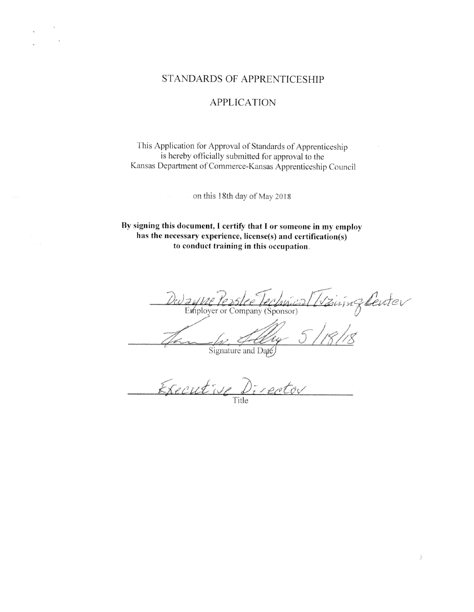# **STANDARDS OF APPRENTICESHIP**

# **APPLICATION**

This Application for Approval of Standards of Apprenticeship is hereby officially submitted for approval to the Kansas Department of Commerce-Kansas Apprenticeship Council

on this 18th day of May 2018

By signing this document, I certify that I or someone in my employ has the necessary experience, license(s) and certification(s) to conduct training in this occupation.

Waiingbeiter Pe Leclavical et of the TE BITE FECTAN CO.<br>Employer or Company (Sponsor)

Signature and Date

Executive Director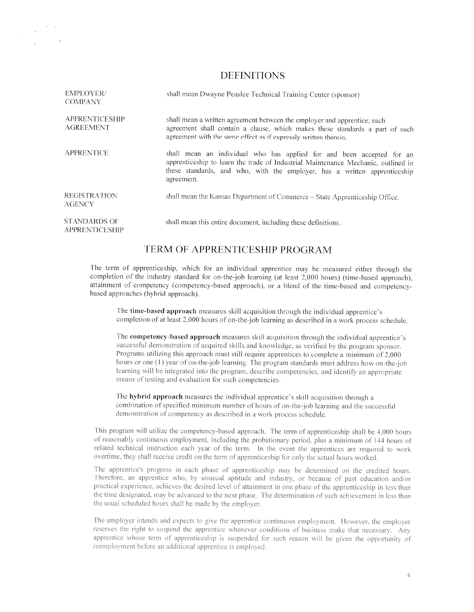# DEFINITIONS

| <b>EMPLOYER/</b><br><b>COMPANY</b>           | shall mean Dwayne Peaslee Technical Training Center (sponsor)                                                                                                                                                                                         |
|----------------------------------------------|-------------------------------------------------------------------------------------------------------------------------------------------------------------------------------------------------------------------------------------------------------|
| <b>APPRENTICESHIP</b><br><b>AGREEMENT</b>    | shall mean a written agreement between the employer and apprentice; each<br>agreement shall contain a clause, which makes these standards a part of such<br>agreement with the same effect as if expressly written therein.                           |
| <b>APPRENTICE</b>                            | shall mean an individual who has applied for and been accepted for an<br>apprenticeship to learn the trade of Industrial Maintenance Mechanic, outlined in<br>these standards, and who, with the employer, has a written apprenticeship<br>agreement. |
| <b>REGISTRATION</b><br><b>AGENCY</b>         | shall mean the Kansas Department of Commerce - State Apprenticeship Office.                                                                                                                                                                           |
| <b>STANDARDS OF</b><br><b>APPRENTICESHIP</b> | shall mean this entire document, including these definitions.                                                                                                                                                                                         |

# TERM OF APPRENTICESHIP PROGRAM

The term of apprenticeship, which for an individual apprentice may be measured either through the completion of the industry standard for on-the-job learning (at least 2,000 hours) (time-based approach). attainment of competency (competency—based approach). or <sup>a</sup> blend of the time—based and competencybased approaches (hybrid approach).

The time-based approac<sup>h</sup> measures skill acquisition through the individual apprentice's completion of at least 2,000 hours of on-the-job learning as described in a work process schedule.

The competency-based approach measures skill acquisition through the individual apprentice's successful demonstration of acquired skills and knowledge, as verified by the program sponsor. Programs utilizing this approach must still require apprentices to complete a minimum of 2,000 hours or one (1) year of on-the-job learning. The program standards must address how on-the-job learning will be integrated into the program, describe competencies, and identify an appropriate means of testing and evaluation for such competencies.

The hybrid approac<sup>h</sup> measures the individual apprentice's skill acquisition through <sup>a</sup> combination of specified minimum number of hours of on-the-job learning and the successful demonstration of competency as described in a work process schedule.

This program will utilize the competency-based approach. The term of apprenticeship shall be 4,000 hours of reasonably continuous employment, including the probationary period, plus a minimum of 144 hours of related technical instruction each year of the term. In the event the apprentices are required to work overtime, they shall receive credit on the term of apprenticeship for only the actual hours worked.

The apprentice's progress in each phase of apprenticeship may be determined on the credited hours. Therefore, an apprentice who, by unusual aptitude and industry, or because of past education and/or practical experience, achieves the desired level of attainment in one phase of the apprenticeship in less than. the time designated, may be advanced to the next phase. The determination of such achievement in less than the usual scheduled hours shall be made by the employer.

The employer intends and expects to give the apprentice continuous employment. However, the employer reserves the right to suspend the apprentice whenever conditions of business make that necessary. Any apprentice whose term of apprenticeship is suspended for such reason will be given the opportunity of reemployment before an additional apprentice is employed.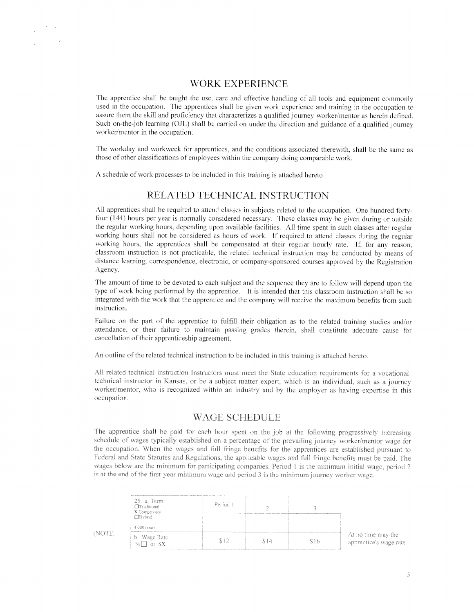# WORK EXPERIENCE

The apprentice shall be taught the use, care and effective handling of all tools and equipment commonly used in the occupation. The apprentices shall he <sup>g</sup>iven work experience and training in the occupation to assure them the skill and proficiency that characterizes a qualified journey worker/mentor as herein defined. Such on-the-job learning (OJL) shall be carried on under the direction and guidance of a qualified journey worker/mentor in the occupation.

The workday and workweek for apprentices, and the conditions associated therewith, shall be the same as those of other classifications of employees within the company doing comparable work.

A schedule of work processes to be included in this training is attached hereto.

# RELATED TECHNICAL INSTRUCTION

All apprentices shall be required to attend classes in subjects related to the occupation. One hundred fortyfour  $(144)$  hours per year is normally considered necessary. These classes may be given during or outside the regular working hours, depending upon available facilities. All time spent in such classes after regular working hours shall not be considered as hours of work. If required to attend classes during the regular working hours, the apprentices shall be compensated at their regular hourly rate. If, for any reason, classroom instruction is not practicable, the related technical instruction may be conducted by means of distance learning, correspondence, electronic, or company-sponsore<sup>d</sup> courses approve<sup>d</sup> by the Registration Agency

The amount of time to be devoted to each subject and the sequence they are to follow will depend upon the type of work being performed by the apprentice. It is intended that this classroom instruction shall be so integrated with the work that the apprentice and the company will receive the maximum benefits from such instruction.

Failure on the part of the apprentice to fulfill their obligation as to the related training studies and/or attendance, or their failure to maintain passing grades therein, shall constitute adequate cause for cancellation of their apprenticeship agreement.

An outline of the related technical instruction to be included in this training is attached hereto.

All related technical instruction Instructors must meet the State education requirements for a vocationaltechnical instructor in Kansas, or he <sup>a</sup> subject matter expert. which is an individual, such as <sup>a</sup> journey worker/mentor, who is recognized within an industry and by the employer as having expertise in this occupation.

## WAGE SCHEDULE

The apprentice shall be paid for each hour spent on the job at the following progressively increasing schedule of wages typically established on a percentage of the prevailing journey worker/mentor wage for the occupation. When the wages and full fringe benefits for the apprentices are established pursuant to Federal and State Statutes and Regulations, the applicable wages and full fringe benefits must be paid. The wages below are the minimum for participating companies. Period 1 is the minimum initial wage, period 2 is at the end of the first-year minimum wage and period 3 is the minimum journey worker wage.

|          | 25. a. Term:<br>$\Box$ Traditional<br>$X$ Competency<br>$\Box$ Hybrid | Period 1 |     |    |
|----------|-----------------------------------------------------------------------|----------|-----|----|
| с.<br>L. | 4,000 hours                                                           |          |     |    |
|          | b. Wage Rate<br>$\frac{9}{6}$ or $5X$                                 |          | 514 | an |

apprentice's wage rate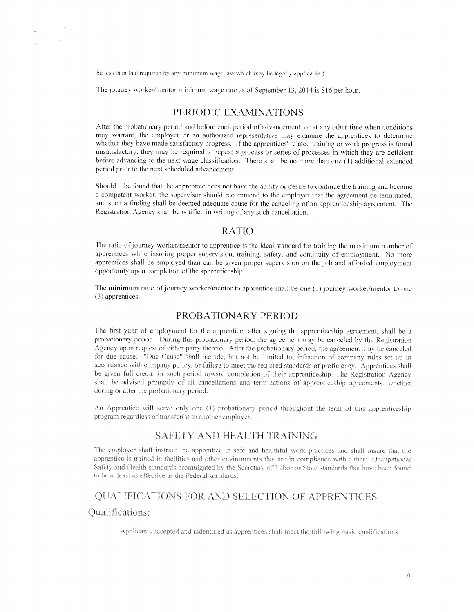be less than that required by any minimum wage law which may be legally applicable.)

The journey worker/mentor minimum wage rate as of September 13, 2014 is \$16 per hour.

# PERIODIC EXAMINATIONS

After the probationary period and before each period of advancement, or at any other time when conditions may wairant, the employer or an authorized representative may examine the apprentices to determine whether they have made satisfactory progress. If the apprentices' related training or work progress is found unsatisfactory, they may be required to repea<sup>t</sup> <sup>a</sup> process or series of processes in which they are deficient before advancing to the next wage classification. There shall be no more than one (1) additional extended period prior to the next scheduled advancement.

Should it be found that the apprentice does not have the ability or desire to continue the training and become a competent worker, the supervisor should recommend to the employer that the agreement be terminated, and such a finding shall be deemed adequate cause for the canceling of an apprenticeship agreement. The Registration Agency shall be notified in writing of any such cancellation.

# RATIO

The ratio of journey worker/mentor to apprentice is the ideal standard for training the maximum number of apprentices while insuring proper supervision, training, safety, and continuity of employment. No more apprentices shall he employed than can be <sup>g</sup>iven proper supervision on the job and afforded employment opportunity upon completion of the apprenticeship.

The minimum ratio of journey worker/mentor to apprentice shall be one  $(1)$  journey worker/mentor to one (3) apprentices.

# PROBATIONARY PERIOD

The first year of employment for the apprentice, after signing the apprenticeship agreement, shall be a probationary period. During this probationary period, the agreement may be canceled by the Registration Agency upon request of either party thereto. After the probationary period, the agreement may be canceled for due cause. "Due Cause" shall include, but not be limited to, infraction of company rules set up in accordance with company policy, or failure to meet the required standards of proficiency. Apprentices shall he <sup>g</sup>iven full credit for such period toward completion of their apprenticeship. The Registration Agency shall be advised promptly of all cancellations and terminations of apprenticeship agreements, whether during or after the probationary period.

An Apprentice will serve only one (1) probationary period throughout the term of this apprenticeship program regardless of transfer(s) to another employer.

## SAFETY AND HEALTH TRAINING

The employer shall instruct the apprentice in safe and healthful work practices and shall insure that the apprentice is trained in facilities and other environments that are in compliance with either: Occupational Safety and Health standards promulgated by the Secretary of Labor or State standards that have been found to be at least as effective as the Federal standards.

# QUALIFICATIONS FOR AND SELECTION OF APPRENTICES

## Qualitications:

 $\label{eq:2} \frac{1}{\left|\mathbf{z}\right|}\left|\frac{1}{\left|\mathbf{z}\right|}\right| \leq \frac{1}{\left|\mathbf{z}\right|}\left|\frac{1}{\left|\mathbf{z}\right|}\right| \leq \frac{1}{\left|\mathbf{z}\right|}$ 

Applicants accepted and indentured as apprentices shall meet the following basic qualifications: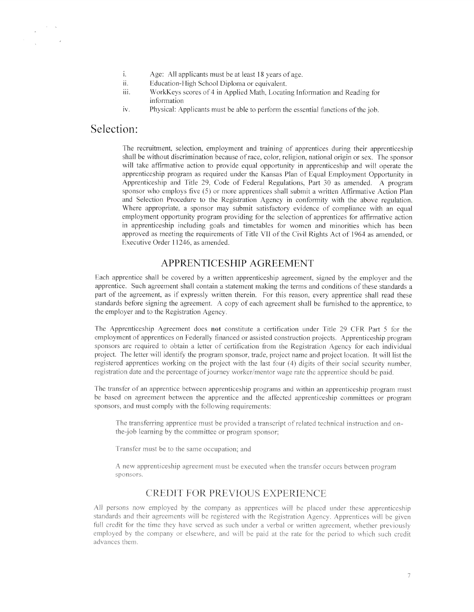- $i$ . Age: All applicants must be at least 18 years of age.
- ii. Education-High School Diploma or equivalent.
- iii. WorkKeys scores of 4 in Applied Math, Locating Information and Reading for information
- iv. Physical: Applicants must be able to perform the essential functions of the job.

# Selection:

The recruitment, selection, employment and training of apprentices during their apprenticeship shall be without discrimination because of race, color, religion, national origin or sex. The sponsor will take affirmative action to provide equa<sup>l</sup> opportunity in apprenticeship and will operate the apprenticeship program as required under the Kansas Plan of Equal Employment Opportunity in Apprenticeship and Title 29, Code of Federal Regulations. Part 30 as amended. A program sponsor who employs five (5) or more apprentices shall submit a written Affirmative Action Plan and Selection Procedure to the Registration Agency in conformity with the above regulation. Where appropriate, a sponsor may submit satisfactory evidence of compliance with an equal employment opportunity program providing for the selection of apprentices for affirmative action in apprenticeship including goals and timetables for women and minorities which has been approved as meeting the requirements of Title VII of the Civil Rights Act of 1964 as amended, or Executive Order 11246, as amended.

# APPRENTICESHIP AGREEMENT

Each apprentice shall be covered by a written apprenticeship agreement, signed by the employer and the apprentice. Such agreemen<sup>t</sup> shall contain <sup>a</sup> statement making the terms and conditions of these standards <sup>a</sup> part of the agreement, as if expressly written therein. For this reason, every apprentice shall read these standards before signing the agreement. A copy of each agreement shall be furnished to the apprentice, to the employer and to the Registration Agency.

The Apprenticeship Agreement does not constitute <sup>a</sup> certification under Title 29 CFR Part 5 for the employment of apprentices on Federally financed or assisted construction projects. Apprenticeship program sponsors are required to obtain a letter of certification from the Registration Agency for each individual project. The letter will identify the program sponsor, trade, project name and project location. It will list the registered apprentices working on the project with the last four (4) digits of their social security number. registration date and the percentage of journey worker/mentor wage rate the apprentice should be paid.

The transfer of an apprentice between apprenticeship programs and within an apprenticeship program must he based on agreemen<sup>t</sup> between the apprentice and the affected apprenticeship committees or program sponsors. and must comply with the following requirements:

The transferring apprentice must be provided a transcript of related technical instruction and onthe-job learning by the committee or program sponsor;

Transfer must be to the same occupation; and

A new apprenticeship agreement must be executed when the transfer occurs between program sponsors.

# CREDIT FOR PREVIOUS EXPERIENCE

All persons now employed by the company as apprentices will be placed under these apprenticeship standards and their agreements will be registered with the Registration Agency. Apprentices will be given full credit for the time they have served as such under a verbal or written agreement, whether previously employed by the company or elsewhere, and will be paid at the rate for the period to which such credit advances them,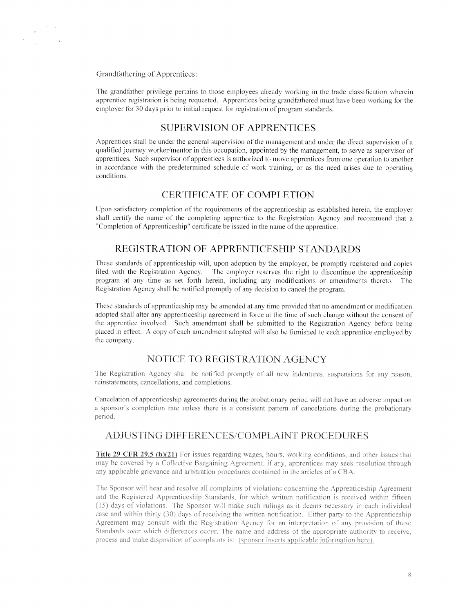Grandfathering of Apprentices:

 $\label{eq:2.1} \frac{1}{\sqrt{2\pi}}\int_0^1\frac{dx}{\sqrt{2\pi}\sqrt{2\pi}}\,dx$ 

 $\mathcal{A}^{\pm}$ 

The grandfather privilege pertains to those employees already working in the trade classification wherein apprentice registration is being requested. Apprentices being grandfathered must have been working for the employer for 30 days prior to initial request for registration of program standards.

# SUPERVISION OF APPRENTICES

Apprentices shall be under the general supervision of the management and under the direct supervision of a qualified journey worker/mentor in this occupation, appointed by the management, to serve as supervisor of apprentices. Such supervisor of apprentices is authorized to mose apprentices from one operation to another in accordance with the predetermined schedule of work training, or as the need arises due to operating conditions.

## CERTIFICATE OF COMPLETION

Upon satisfactory completion of the requirements of the apprenticeship as established herein, the employer shall certify the name of the completing apprentice to the Registration Agency and recommend that <sup>a</sup> "Completion of Apprenticeship" certificate be issued in the name of the apprentice.

# REGISTRATION OF APPRENTICESHIP STANDARDS

These standards of apprenticeship will, upon adoption by the employer, be promptly registered and copies filed with the Registration Agency. The employer reserves the right to discontinue the apprenticeship program at any time asset forth herein, including any modifications or amendments thereto. The Registration Agency shall be notified promptly of any decision to cancel the program.

These standards of apprenticeship may be amended at any time provided that no amendment or modification adopted shall alter any apprenticeship agreemen<sup>t</sup> in force at the time of such change without the consent of the apprentice involved. Such amendment shall be submitted to the Registration Agency before being placed in effect. A copy of each amendment adopted will also be furnished to each apprentice employed by the company.

# NOTICE TO REGISTRATION AGENCY

The Registration Agency shall be notified promptly of all new indentures, suspensions for any reason, reinstatements, cancellations, and completions.

Cancelation of apprenticeship agreements during the probationary period will not have an adverse impact on <sup>a</sup> sponsor's completion rate unless there is <sup>a</sup> consistent pattern of eancelations during the probationary period.

# ADJUSTING DIFFERENCES/COMPLAINT PROCEDURES

**Title.29 CFR 29.5 (b)(21)** For issues regarding wages, hours, working conditions, and other issues that may be covered by a Collective Bargaining Agreement, if any, apprentices may seek resolution through any applicable grievance and arbitration procedures contained in the articles of a CBA.

The Sponsor will hear and resolve all complaints of violations concerning the Apprenticeship Agreement and the Registered Apprenticeship Standards, for which written notification is received within fifteen  $(15)$  days of violations. The Sponsor will make such rulings as it deems necessary in each individual case and within thirty (30) days of receiving the written notification. Either party to the Apprenticeship It with the Registration Agency for an interpretation of Standards over which differences occur. The name and address of the appropriate authority to receive, process and make disposition of complaints is: (sponsor inserts applicable information here).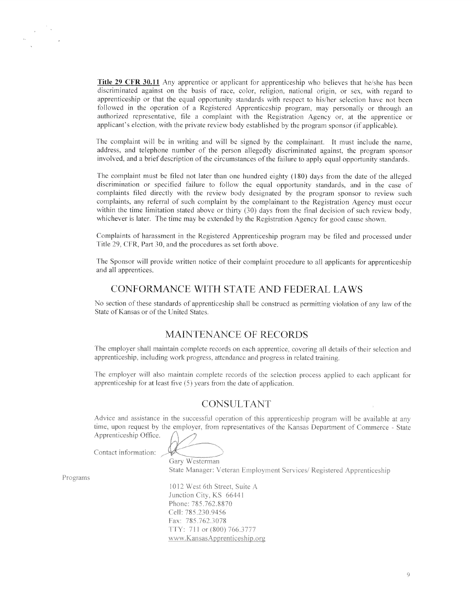Title 29 CFR 30.11 Any apprentice or applicant for apprenticeship who believes that he/she has been discriminated against on the basis of race. color. religion. national origin, or sex, with regar<sup>d</sup> to apprenticeship or that the equal opportunity standards with respect to his/her selection have not been followed in the operation of <sup>a</sup> Registered Apprenticeship program. may personally or through an authorized representative, tile <sup>a</sup> complaint with the Registration Agency or, at the apprentice or applicant's election, with the private review body established by the program sponsor (if applicable).

The complaint will be in writing and will be signed by the complainant. It must include the name, address, and telephone number of the person allegedly discriminated against, the program sponsor involved, and a brief description of the circumstances of the failure to apply equal opportunity standards.

The complaint must be filed not later than one hundred eighty (180) days from the date of the alleged discrimination or specitied failure to follow the equa<sup>l</sup> opportunity standards. and in the case of complaints filed directly with the review body designated by the program sponsor to review such complaints, any referral of such complaint by the complainant to the Registration Agency must occur within the time limitation stated above or thirty  $(30)$  days from the final decision of such review body. whichever is later. The time may be extended by the Registration Agency for good cause shown.

Complaints of harassment in the Registered Apprenticeship program may be filed and processe<sup>d</sup> under Title 29, CFR, Part 30, and the procedures as set forth above.

The Sponsor will provide written notice of their complaint procedure to all applicants for apprenticeship and all apprentices.

# CONFORMANCE WTTH STATE AND FEDERAL LAWS

No section of these standards of apprenticeship shall be construed as permitting violation of any law of the State of Kansas or of the United States.

## MAINTENANCE OF RECORDS

The employer shall maintain complete records on each apprentice, covering all details of their selection and apprenticeship, includine work progress, attendance and progress in related training.

The employer will also maintain complete records of the selection process applied to each applicant for apprenticeship for at least five (5) years from the date of application.

#### CONSULTANT

Advice and assistance in the successful operation of this apprenticeship program will be available at any time, upon request by the employer, from representatives of the Kansas Department of Commerce - State Apprenticeship Office.

Contact information:

Gary Westerman State Manager: Veteran Employment Services/ Registered Apprenticeship

Programs

.2 West 6th Street, Suite A Junction City, KS 66441 Phone: 785.762.8870 Cell: 785.230.9456 Fax: 785.762,3078 TTY: 711 or (800) 766.3277 www.KansasApprenticeship.org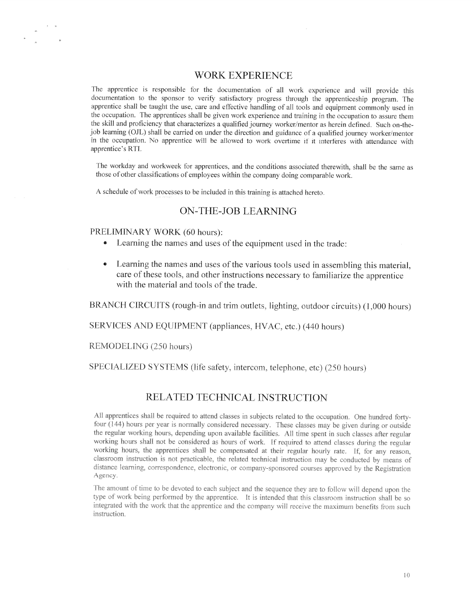# WORK EXPERIENCE

The apprentice is responsible for the documentation of all work experience and will provide this documentation to the sponsor to verify satisfactory progress through the apprenticeship program. The apprentice shall he taught the use, care and effective handling of all tools and equipment commonly used in the occupation. The apprentices shall be given work experience and training in the occupation to assure them the skill and proficiency that characterizes a qualified journey worker/mentor as herein defined. Such on-thejob learning (OJL) shall be carried on under the direction and guidance of a qualified journey worker/mentor in the occupation. No apprentice will be allowed to work overtime if it interferes with attendance with apprentice's RTI.

The workday and workweek for apprentices, and the conditions associated therewith, shall be the same as those of other classifications of employees within the company doing comparable work.

A schedule of work processes to be included in this training is attached hereto.

#### ON-THE-iOB LEARNNG

#### PRELIMINARY WORK (60 hours):

- $\bullet$ Learning the names and uses of the equipment used in the trade:
- • Learning the names and uses of the various tools used in assembling this material. care of these tools, and other instructions necessary to familiarize the apprentice with the material and tools of the trade.

BRANCH CIRCUITS (rough-in and trim outlets, lighting, outdoor circuits) (1,000 hours)

SERVICES AND EQUIPMENT (appliances, HVAC, etc.) (440 hours)

REMODELING (250 hours)

SPECIALIZED SYSTEMS (life safety, intercom, telephone, etc) (250 hours)

# RELATED TECHNICAL INSTRUCTION

All apprentices shall be required to attend classes in subjects related to the occupation. One hundred fortyfour  $(144)$  hours per year is normally considered necessary. These classes may be given during or outside the regular working hours, depending upon available facilities. All time spent in such classes after regular working hours shall not be considered as hours of work. If required to attend classes during the regular working hours, the apprentices shall be compensated at their regular hourly rate. If, for any reason, classroom instruction is not practicable, the related technical instruction may be conducted by means of distance learning, correspondence, electronic, or company-sponsored courses approved by the Registration Agency.

The amount of time to be devoted to each subject and the sequence they are to follow will depend upon the 2. DUI LUI HIUU UV UIU ADDIUHILIUU. – IL IS HILUNGUU LIHAL HIIS CHASKROM INSTRICTION integrated with the work that the apprentice and the company will receive the maximum benefits from such instruction.